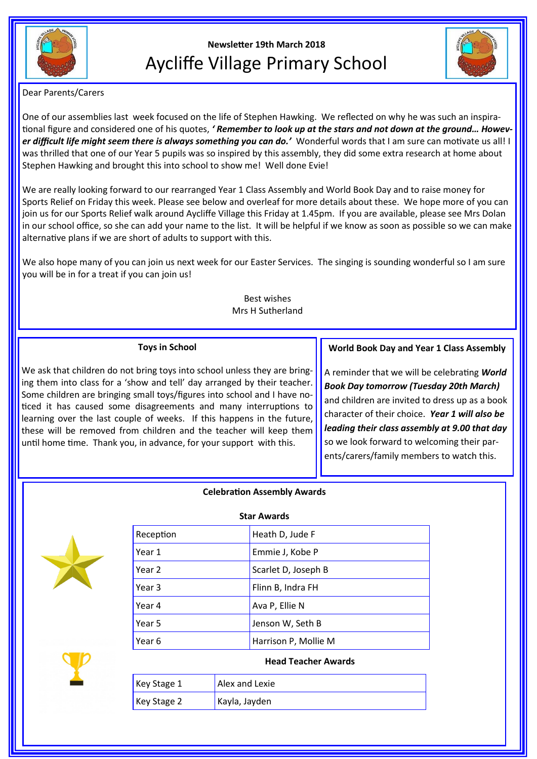

# **Newsletter 19th March 2018** Aycliffe Village Primary School



Dear Parents/Carers

One of our assemblies last week focused on the life of Stephen Hawking. We reflected on why he was such an inspirational figure and considered one of his quotes, *' Remember to look up at the stars and not down at the ground… However difficult life might seem there is always something you can do.'* Wonderful words that I am sure can motivate us all! I was thrilled that one of our Year 5 pupils was so inspired by this assembly, they did some extra research at home about Stephen Hawking and brought this into school to show me! Well done Evie!

We are really looking forward to our rearranged Year 1 Class Assembly and World Book Day and to raise money for Sports Relief on Friday this week. Please see below and overleaf for more details about these. We hope more of you can join us for our Sports Relief walk around Aycliffe Village this Friday at 1.45pm. If you are available, please see Mrs Dolan in our school office, so she can add your name to the list. It will be helpful if we know as soon as possible so we can make alternative plans if we are short of adults to support with this.

We also hope many of you can join us next week for our Easter Services. The singing is sounding wonderful so I am sure you will be in for a treat if you can join us!

## Best wishes Mrs H Sutherland

# **Toys in School**

We ask that children do not bring toys into school unless they are bringing them into class for a 'show and tell' day arranged by their teacher. Some children are bringing small toys/figures into school and I have noticed it has caused some disagreements and many interruptions to learning over the last couple of weeks. If this happens in the future, these will be removed from children and the teacher will keep them until home time. Thank you, in advance, for your support with this.

## **World Book Day and Year 1 Class Assembly**

A reminder that we will be celebrating *World Book Day tomorrow (Tuesday 20th March)* and children are invited to dress up as a book character of their choice. *Year 1 will also be leading their class assembly at 9.00 that day*  so we look forward to welcoming their parents/carers/family members to watch this.

## **Celebration Assembly Awards**



| <b>Star Awards</b> |                      |
|--------------------|----------------------|
| Reception          | Heath D, Jude F      |
| Year 1             | Emmie J, Kobe P      |
| Year 2             | Scarlet D, Joseph B  |
| Year 3             | Flinn B, Indra FH    |
| Year 4             | Ava P, Ellie N       |
| Year 5             | Jenson W, Seth B     |
| Year 6             | Harrison P, Mollie M |

## **Head Teacher Awards**

| Key Stage 1 | Alex and Lexie |
|-------------|----------------|
| Key Stage 2 | Kayla, Jayden  |